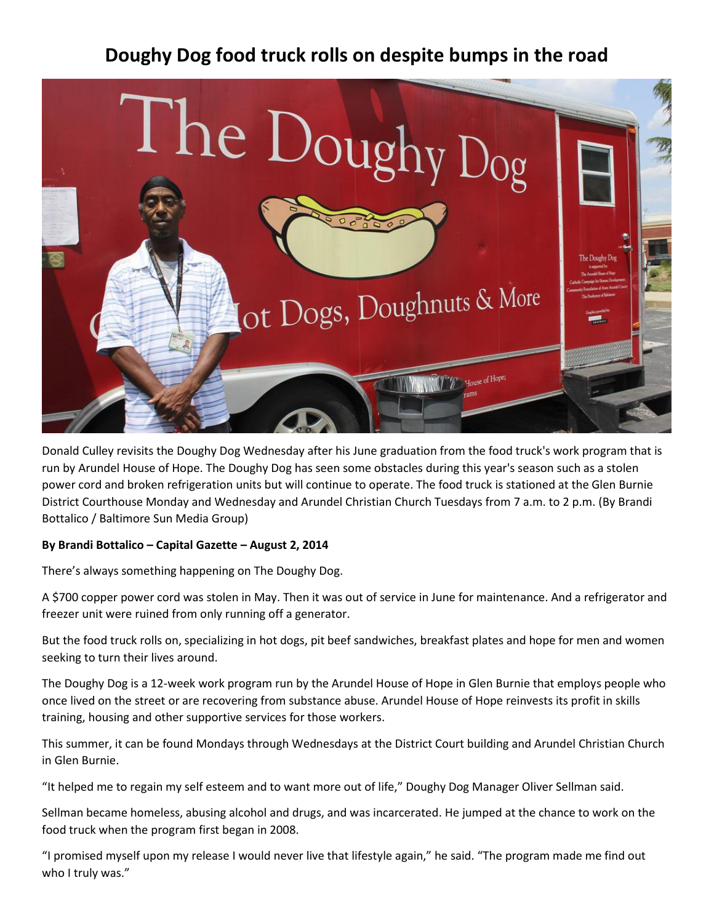## **Doughy Dog food truck rolls on despite bumps in the road**



Donald Culley revisits the Doughy Dog Wednesday after his June graduation from the food truck's work program that is run by Arundel House of Hope. The Doughy Dog has seen some obstacles during this year's season such as a stolen power cord and broken refrigeration units but will continue to operate. The food truck is stationed at the Glen Burnie District Courthouse Monday and Wednesday and Arundel Christian Church Tuesdays from 7 a.m. to 2 p.m. (By Brandi Bottalico / Baltimore Sun Media Group)

## **By Brandi Bottalico – Capital Gazette – August 2, 2014**

There's always something happening on The Doughy Dog.

A \$700 copper power cord was stolen in May. Then it was out of service in June for maintenance. And a refrigerator and freezer unit were ruined from only running off a generator.

But the food truck rolls on, specializing in hot dogs, pit beef sandwiches, breakfast plates and hope for men and women seeking to turn their lives around.

The Doughy Dog is a 12-week work program run by the Arundel House of Hope in Glen Burnie that employs people who once lived on the street or are recovering from substance abuse. Arundel House of Hope reinvests its profit in skills training, housing and other supportive services for those workers.

This summer, it can be found Mondays through Wednesdays at the District Court building and Arundel Christian Church in Glen Burnie.

"It helped me to regain my self esteem and to want more out of life," Doughy Dog Manager Oliver Sellman said.

Sellman became homeless, abusing alcohol and drugs, and was incarcerated. He jumped at the chance to work on the food truck when the program first began in 2008.

"I promised myself upon my release I would never live that lifestyle again," he said. "The program made me find out who I truly was."